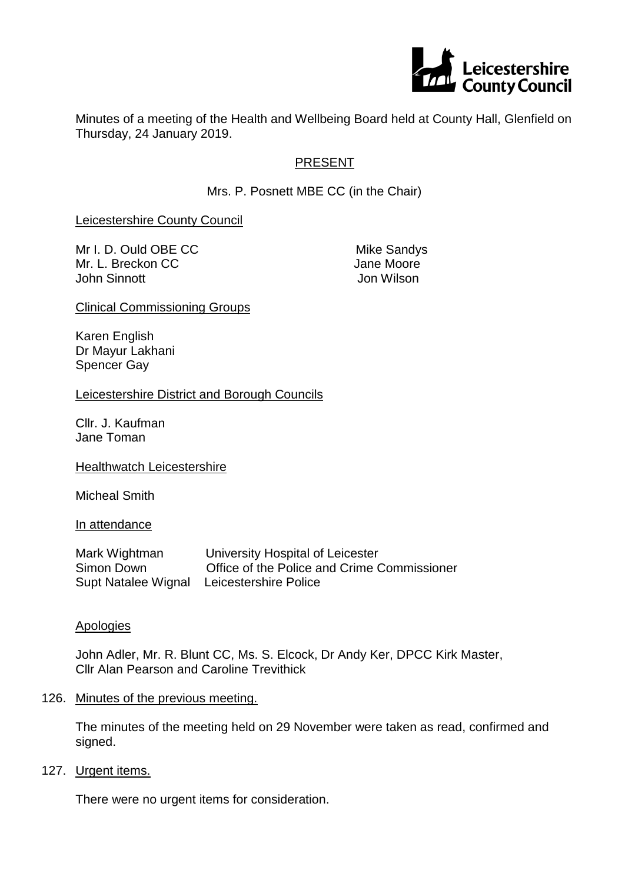

Minutes of a meeting of the Health and Wellbeing Board held at County Hall, Glenfield on Thursday, 24 January 2019.

## PRESENT

Mrs. P. Posnett MBE CC (in the Chair)

Leicestershire County Council

Mr I. D. Ould OBE CC Mike Sandys Mr. L. Breckon CC **Jane Moore** John Sinnott Jon Wilson

Clinical Commissioning Groups

Karen English Dr Mayur Lakhani Spencer Gay

Leicestershire District and Borough Councils

Cllr. J. Kaufman Jane Toman

Healthwatch Leicestershire

Micheal Smith

In attendance

Mark Wightman University Hospital of Leicester Simon Down Office of the Police and Crime Commissioner Supt Natalee Wignal Leicestershire Police

#### Apologies

John Adler, Mr. R. Blunt CC, Ms. S. Elcock, Dr Andy Ker, DPCC Kirk Master, Cllr Alan Pearson and Caroline Trevithick

126. Minutes of the previous meeting.

The minutes of the meeting held on 29 November were taken as read, confirmed and signed.

127. Urgent items.

There were no urgent items for consideration.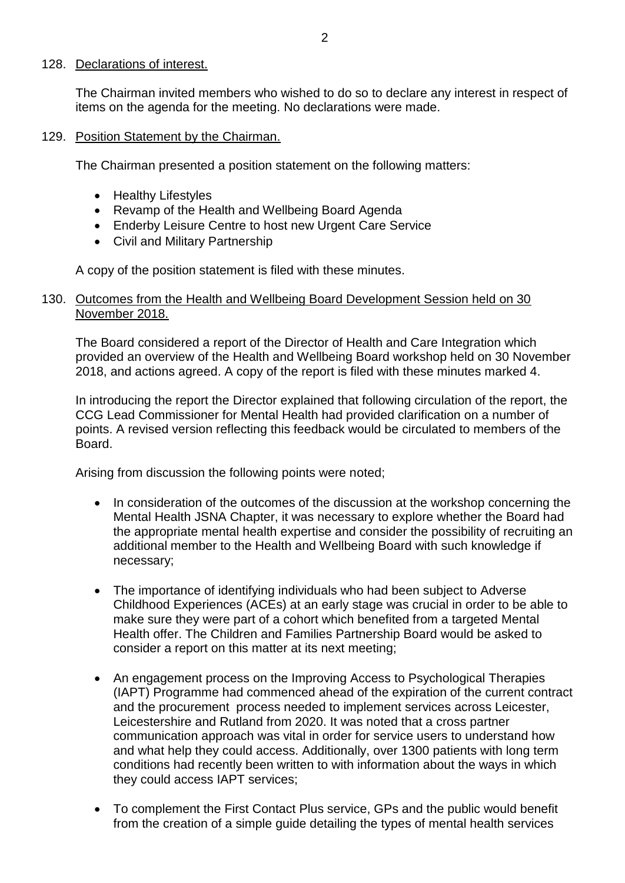#### 128. Declarations of interest.

The Chairman invited members who wished to do so to declare any interest in respect of items on the agenda for the meeting. No declarations were made.

#### 129. Position Statement by the Chairman.

The Chairman presented a position statement on the following matters:

- Healthy Lifestyles
- Revamp of the Health and Wellbeing Board Agenda
- Enderby Leisure Centre to host new Urgent Care Service
- Civil and Military Partnership

A copy of the position statement is filed with these minutes.

#### 130. Outcomes from the Health and Wellbeing Board Development Session held on 30 November 2018.

The Board considered a report of the Director of Health and Care Integration which provided an overview of the Health and Wellbeing Board workshop held on 30 November 2018, and actions agreed. A copy of the report is filed with these minutes marked 4.

In introducing the report the Director explained that following circulation of the report, the CCG Lead Commissioner for Mental Health had provided clarification on a number of points. A revised version reflecting this feedback would be circulated to members of the Board.

Arising from discussion the following points were noted;

- In consideration of the outcomes of the discussion at the workshop concerning the Mental Health JSNA Chapter, it was necessary to explore whether the Board had the appropriate mental health expertise and consider the possibility of recruiting an additional member to the Health and Wellbeing Board with such knowledge if necessary;
- The importance of identifying individuals who had been subject to Adverse Childhood Experiences (ACEs) at an early stage was crucial in order to be able to make sure they were part of a cohort which benefited from a targeted Mental Health offer. The Children and Families Partnership Board would be asked to consider a report on this matter at its next meeting;
- An engagement process on the Improving Access to Psychological Therapies (IAPT) Programme had commenced ahead of the expiration of the current contract and the procurement process needed to implement services across Leicester, Leicestershire and Rutland from 2020. It was noted that a cross partner communication approach was vital in order for service users to understand how and what help they could access. Additionally, over 1300 patients with long term conditions had recently been written to with information about the ways in which they could access IAPT services;
- To complement the First Contact Plus service, GPs and the public would benefit from the creation of a simple guide detailing the types of mental health services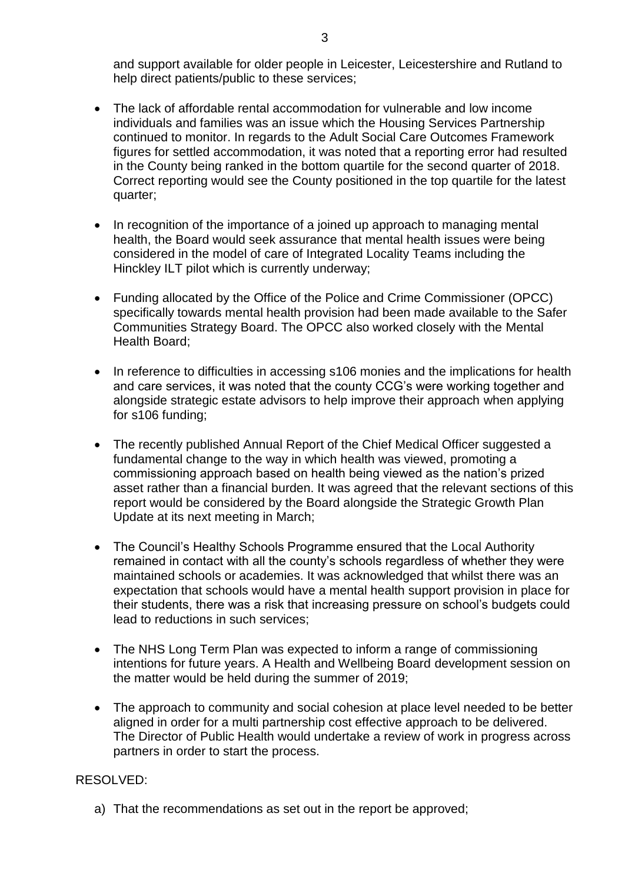and support available for older people in Leicester, Leicestershire and Rutland to help direct patients/public to these services;

- The lack of affordable rental accommodation for vulnerable and low income individuals and families was an issue which the Housing Services Partnership continued to monitor. In regards to the Adult Social Care Outcomes Framework figures for settled accommodation, it was noted that a reporting error had resulted in the County being ranked in the bottom quartile for the second quarter of 2018. Correct reporting would see the County positioned in the top quartile for the latest quarter;
- In recognition of the importance of a joined up approach to managing mental health, the Board would seek assurance that mental health issues were being considered in the model of care of Integrated Locality Teams including the Hinckley ILT pilot which is currently underway;
- Funding allocated by the Office of the Police and Crime Commissioner (OPCC) specifically towards mental health provision had been made available to the Safer Communities Strategy Board. The OPCC also worked closely with the Mental Health Board;
- In reference to difficulties in accessing s106 monies and the implications for health and care services, it was noted that the county CCG's were working together and alongside strategic estate advisors to help improve their approach when applying for s106 funding;
- The recently published Annual Report of the Chief Medical Officer suggested a fundamental change to the way in which health was viewed, promoting a commissioning approach based on health being viewed as the nation's prized asset rather than a financial burden. It was agreed that the relevant sections of this report would be considered by the Board alongside the Strategic Growth Plan Update at its next meeting in March;
- The Council's Healthy Schools Programme ensured that the Local Authority remained in contact with all the county's schools regardless of whether they were maintained schools or academies. It was acknowledged that whilst there was an expectation that schools would have a mental health support provision in place for their students, there was a risk that increasing pressure on school's budgets could lead to reductions in such services;
- The NHS Long Term Plan was expected to inform a range of commissioning intentions for future years. A Health and Wellbeing Board development session on the matter would be held during the summer of 2019;
- The approach to community and social cohesion at place level needed to be better aligned in order for a multi partnership cost effective approach to be delivered. The Director of Public Health would undertake a review of work in progress across partners in order to start the process.

# RESOLVED:

a) That the recommendations as set out in the report be approved;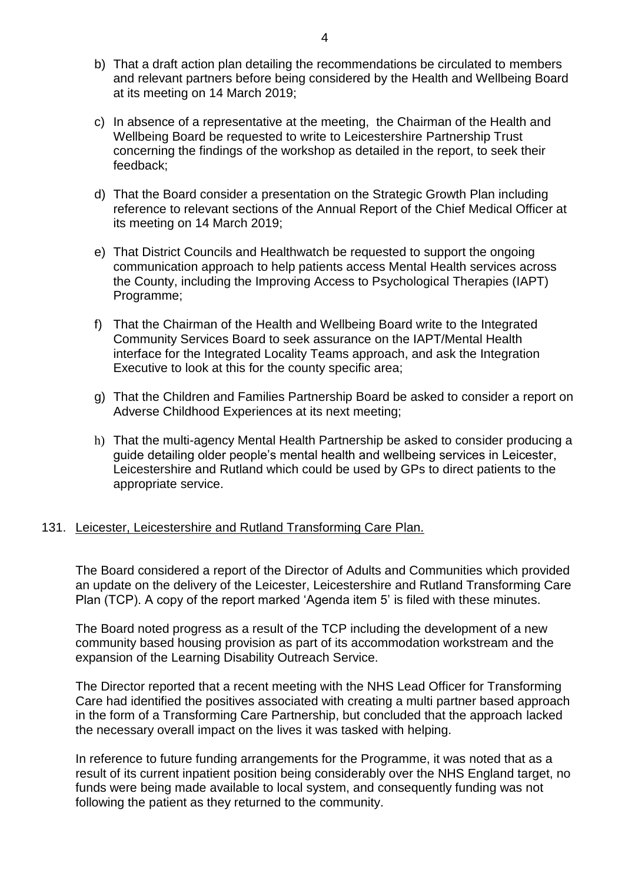- b) That a draft action plan detailing the recommendations be circulated to members and relevant partners before being considered by the Health and Wellbeing Board at its meeting on 14 March 2019;
- c) In absence of a representative at the meeting, the Chairman of the Health and Wellbeing Board be requested to write to Leicestershire Partnership Trust concerning the findings of the workshop as detailed in the report, to seek their feedback;
- d) That the Board consider a presentation on the Strategic Growth Plan including reference to relevant sections of the Annual Report of the Chief Medical Officer at its meeting on 14 March 2019;
- e) That District Councils and Healthwatch be requested to support the ongoing communication approach to help patients access Mental Health services across the County, including the Improving Access to Psychological Therapies (IAPT) Programme;
- f) That the Chairman of the Health and Wellbeing Board write to the Integrated Community Services Board to seek assurance on the IAPT/Mental Health interface for the Integrated Locality Teams approach, and ask the Integration Executive to look at this for the county specific area;
- g) That the Children and Families Partnership Board be asked to consider a report on Adverse Childhood Experiences at its next meeting;
- h) That the multi-agency Mental Health Partnership be asked to consider producing a guide detailing older people's mental health and wellbeing services in Leicester, Leicestershire and Rutland which could be used by GPs to direct patients to the appropriate service.

### 131. Leicester, Leicestershire and Rutland Transforming Care Plan.

The Board considered a report of the Director of Adults and Communities which provided an update on the delivery of the Leicester, Leicestershire and Rutland Transforming Care Plan (TCP). A copy of the report marked 'Agenda item 5' is filed with these minutes.

The Board noted progress as a result of the TCP including the development of a new community based housing provision as part of its accommodation workstream and the expansion of the Learning Disability Outreach Service.

The Director reported that a recent meeting with the NHS Lead Officer for Transforming Care had identified the positives associated with creating a multi partner based approach in the form of a Transforming Care Partnership, but concluded that the approach lacked the necessary overall impact on the lives it was tasked with helping.

In reference to future funding arrangements for the Programme, it was noted that as a result of its current inpatient position being considerably over the NHS England target, no funds were being made available to local system, and consequently funding was not following the patient as they returned to the community.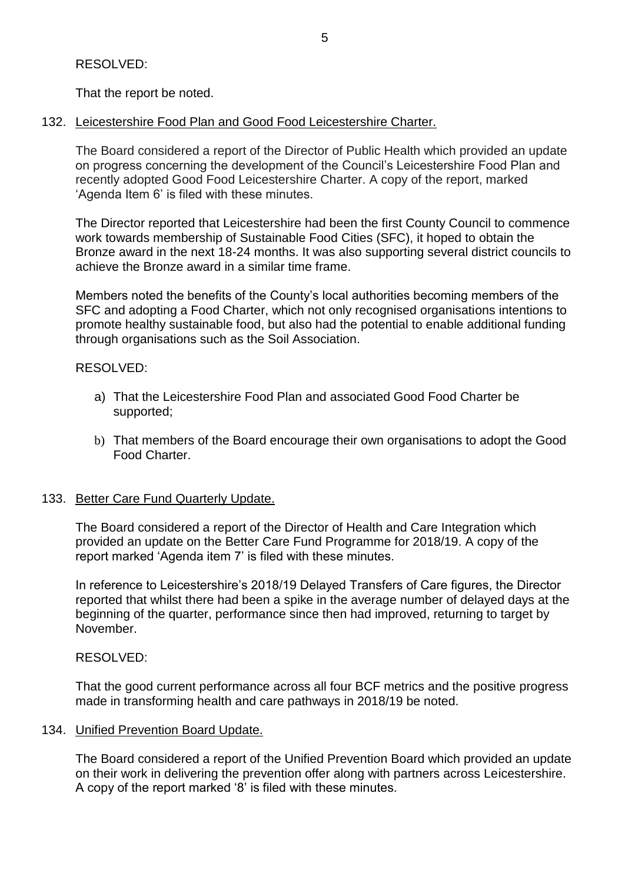That the report be noted.

132. Leicestershire Food Plan and Good Food Leicestershire Charter.

The Board considered a report of the Director of Public Health which provided an update on progress concerning the development of the Council's Leicestershire Food Plan and recently adopted Good Food Leicestershire Charter. A copy of the report, marked 'Agenda Item 6' is filed with these minutes.

The Director reported that Leicestershire had been the first County Council to commence work towards membership of Sustainable Food Cities (SFC), it hoped to obtain the Bronze award in the next 18-24 months. It was also supporting several district councils to achieve the Bronze award in a similar time frame.

Members noted the benefits of the County's local authorities becoming members of the SFC and adopting a Food Charter, which not only recognised organisations intentions to promote healthy sustainable food, but also had the potential to enable additional funding through organisations such as the Soil Association.

### RESOLVED:

- a) That the Leicestershire Food Plan and associated Good Food Charter be supported;
- b) That members of the Board encourage their own organisations to adopt the Good Food Charter.

# 133. Better Care Fund Quarterly Update.

The Board considered a report of the Director of Health and Care Integration which provided an update on the Better Care Fund Programme for 2018/19. A copy of the report marked 'Agenda item 7' is filed with these minutes.

In reference to Leicestershire's 2018/19 Delayed Transfers of Care figures, the Director reported that whilst there had been a spike in the average number of delayed days at the beginning of the quarter, performance since then had improved, returning to target by November.

# RESOLVED:

That the good current performance across all four BCF metrics and the positive progress made in transforming health and care pathways in 2018/19 be noted.

### 134. Unified Prevention Board Update.

The Board considered a report of the Unified Prevention Board which provided an update on their work in delivering the prevention offer along with partners across Leicestershire. A copy of the report marked '8' is filed with these minutes.